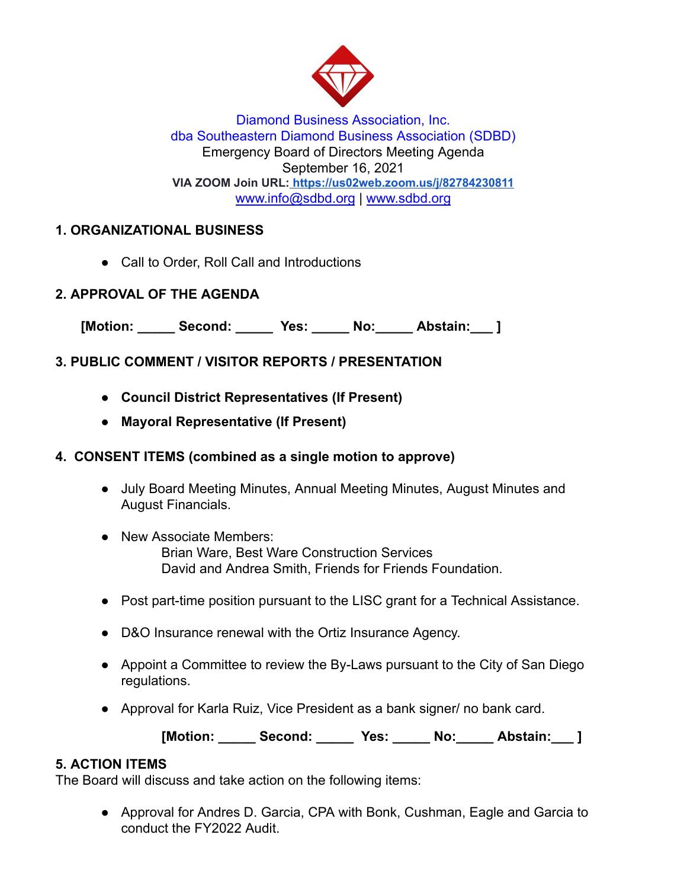

Diamond Business Association, Inc. dba Southeastern Diamond Business Association (SDBD) Emergency Board of Directors Meeting Agenda September 16, 2021 **VIA ZOOM Join URL: <https://us02web.zoom.us/j/82784230811>** www.info@sdbd.org | [www.sdbd.org](http://www.sdbd.org/)

## **1. ORGANIZATIONAL BUSINESS**

● Call to Order, Roll Call and Introductions

### **2. APPROVAL OF THE AGENDA**

[Motion: Second: Yes: No: Abstain: ]

# **3. PUBLIC COMMENT / VISITOR REPORTS / PRESENTATION**

- **● Council District Representatives (If Present)**
- **● Mayoral Representative (If Present)**

### **4. CONSENT ITEMS (combined as a single motion to approve)**

- July Board Meeting Minutes, Annual Meeting Minutes, August Minutes and August Financials.
- New Associate Members: Brian Ware, Best Ware Construction Services David and Andrea Smith, Friends for Friends Foundation.
- Post part-time position pursuant to the LISC grant for a Technical Assistance.
- D&O Insurance renewal with the Ortiz Insurance Agency.
- Appoint a Committee to review the By-Laws pursuant to the City of San Diego regulations.
- Approval for Karla Ruiz, Vice President as a bank signer/ no bank card.

[Motion: Second: Yes: No: Abstain: ]

### **5. ACTION ITEMS**

The Board will discuss and take action on the following items:

● Approval for Andres D. Garcia, CPA with Bonk, Cushman, Eagle and Garcia to conduct the FY2022 Audit.